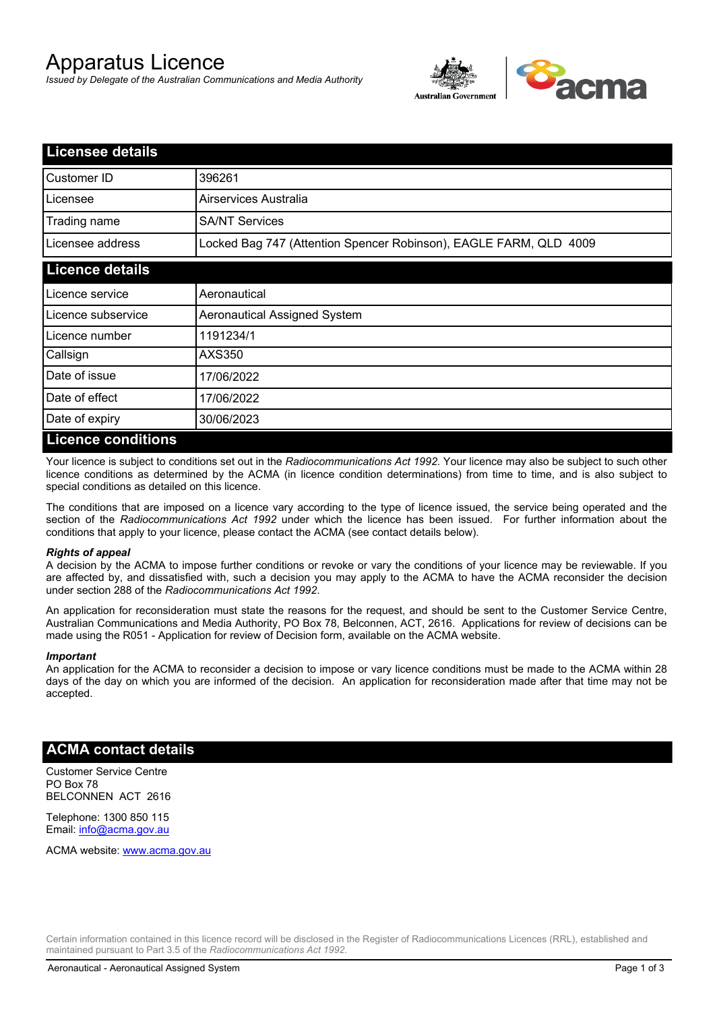# Apparatus Licence

*Issued by Delegate of the Australian Communications and Media Authority*



| <b>Licensee details</b> |                                                                   |
|-------------------------|-------------------------------------------------------------------|
| Customer ID             | 396261                                                            |
| Licensee                | Airservices Australia                                             |
| Trading name            | <b>SA/NT Services</b>                                             |
| Licensee address        | Locked Bag 747 (Attention Spencer Robinson), EAGLE FARM, QLD 4009 |
| <b>Licence details</b>  |                                                                   |
| Licence service         | Aeronautical                                                      |
| Licence subservice      | Aeronautical Assigned System                                      |
| Licence number          | 1191234/1                                                         |
| Callsign                | <b>AXS350</b>                                                     |
| Date of issue           | 17/06/2022                                                        |
| Date of effect          | 17/06/2022                                                        |
| Date of expiry          | 30/06/2023                                                        |
| Licance conditions      |                                                                   |

## **Licence conditions**

Your licence is subject to conditions set out in the *Radiocommunications Act 1992*. Your licence may also be subject to such other licence conditions as determined by the ACMA (in licence condition determinations) from time to time, and is also subject to special conditions as detailed on this licence.

The conditions that are imposed on a licence vary according to the type of licence issued, the service being operated and the section of the *Radiocommunications Act 1992* under which the licence has been issued. For further information about the conditions that apply to your licence, please contact the ACMA (see contact details below).

## *Rights of appeal*

A decision by the ACMA to impose further conditions or revoke or vary the conditions of your licence may be reviewable. If you are affected by, and dissatisfied with, such a decision you may apply to the ACMA to have the ACMA reconsider the decision under section 288 of the *Radiocommunications Act 1992*.

An application for reconsideration must state the reasons for the request, and should be sent to the Customer Service Centre, Australian Communications and Media Authority, PO Box 78, Belconnen, ACT, 2616. Applications for review of decisions can be made using the R051 - Application for review of Decision form, available on the ACMA website.

#### *Important*

An application for the ACMA to reconsider a decision to impose or vary licence conditions must be made to the ACMA within 28 days of the day on which you are informed of the decision. An application for reconsideration made after that time may not be accepted.

## **ACMA contact details**

Customer Service Centre PO Box 78 BELCONNEN ACT 2616

Telephone: 1300 850 115 Email: info@acma.gov.au

ACMA website: www.acma.gov.au

Certain information contained in this licence record will be disclosed in the Register of Radiocommunications Licences (RRL), established and maintained pursuant to Part 3.5 of the *Radiocommunications Act 1992.*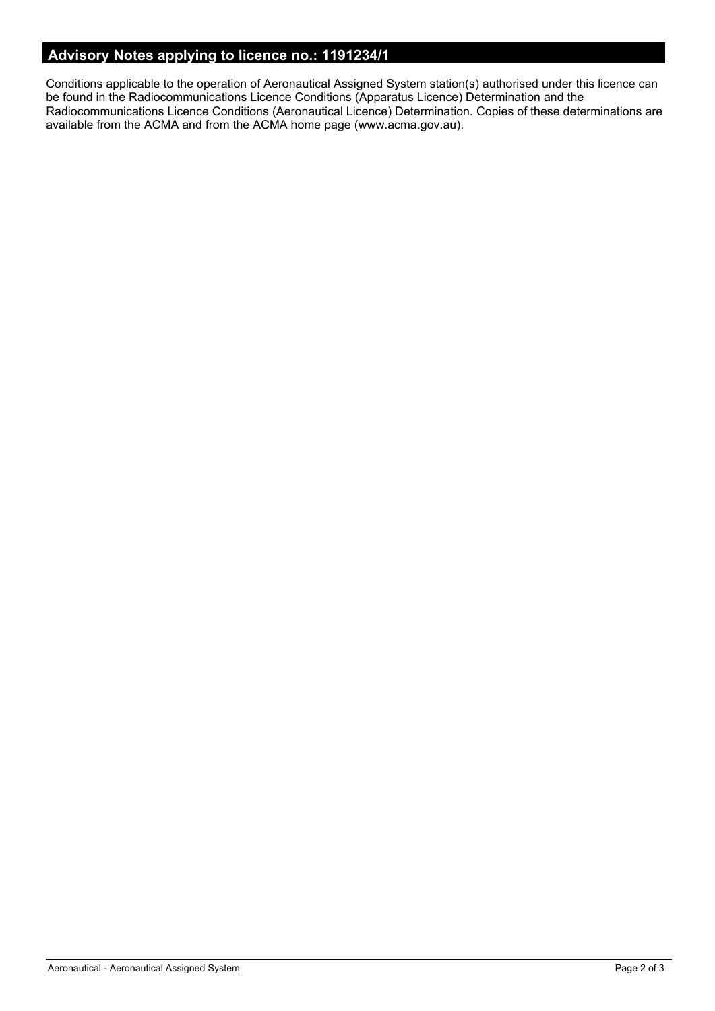# **Advisory Notes applying to licence no.: 1191234/1**

Conditions applicable to the operation of Aeronautical Assigned System station(s) authorised under this licence can be found in the Radiocommunications Licence Conditions (Apparatus Licence) Determination and the Radiocommunications Licence Conditions (Aeronautical Licence) Determination. Copies of these determinations are available from the ACMA and from the ACMA home page (www.acma.gov.au).